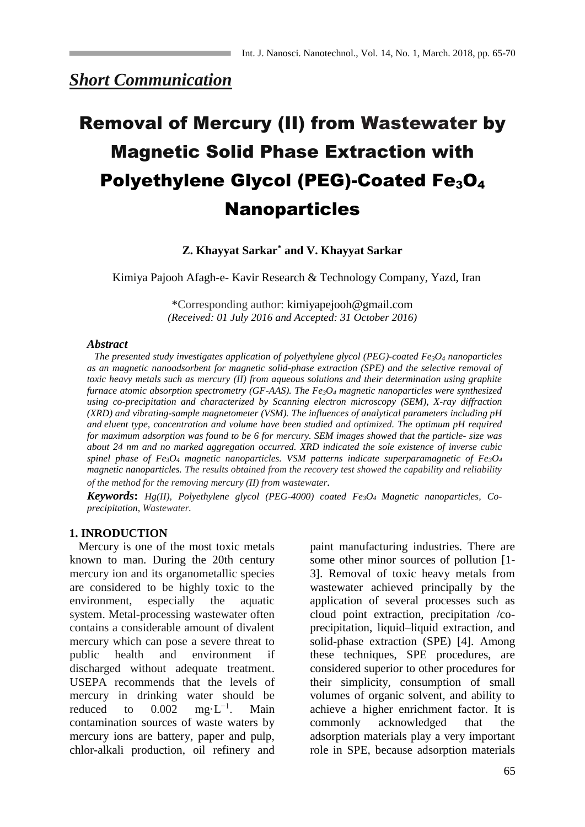# *Short Communication*

# Removal of Mercury (II) from Wastewater by Magnetic Solid Phase Extraction with Polyethylene Glycol (PEG)-Coated Fe<sub>3</sub>O<sub>4</sub> Nanoparticles

#### **Z. Khayyat Sarkar\* and V. Khayyat Sarkar**

Kimiya Pajooh Afagh-e- Kavir Research & Technology Company, Yazd, Iran

\*Corresponding author: kimiyapejooh@gmail.com *(Received: 01 July 2016 and Accepted: 31 October 2016)*

#### *Abstract*

 *The presented study investigates application of polyethylene glycol (PEG)-coated Fe3O<sup>4</sup> nanoparticles as an magnetic nanoadsorbent for magnetic solid-phase extraction (SPE) and the selective removal of toxic heavy metals such as mercury (II) from aqueous solutions and their determination using graphite furnace atomic absorption spectrometry (GF-AAS). The Fe3O<sup>4</sup> magnetic nanoparticles were synthesized using co-precipitation and characterized by Scanning electron microscopy (SEM), X-ray diffraction (XRD) and vibrating-sample magnetometer (VSM). The influences of analytical parameters including pH and eluent type, concentration and volume have been studied and optimized. The optimum pH required for maximum adsorption was found to be 6 for mercury. SEM images showed that the particle- size was about 24 nm and no marked aggregation occurred. XRD indicated the sole existence of inverse cubic spinel phase of Fe3O<sup>4</sup> magnetic nanoparticles. VSM patterns indicate superparamagnetic of Fe3O<sup>4</sup> magnetic nanoparticles. The results obtained from the recovery test showed the capability and reliability of the method for the removing mercury (II) from wastewater.*

*Keywords***:** *Hg(II), Polyethylene glycol (PEG-4000) coated Fe3O4 Magnetic nanoparticles, Coprecipitation, Wastewater.*

#### **1. INRODUCTION**

 Mercury is one of the most toxic metals known to man. During the 20th century mercury ion and its organometallic species are considered to be highly toxic to the environment, especially the aquatic system. Metal-processing wastewater often contains a considerable amount of divalent mercury which can pose a severe threat to public health and environment if discharged without adequate treatment. USEPA recommends that the levels of mercury in drinking water should be reduced to  $0.002$  mg⋅ $L^{-1}$ . . Main contamination sources of waste waters by mercury ions are battery, paper and pulp, chlor-alkali production, oil refinery and paint manufacturing industries. There are some other minor sources of pollution [1- 3]. Removal of toxic heavy metals from wastewater achieved principally by the application of several processes such as cloud point extraction, precipitation /coprecipitation, liquid–liquid extraction, and solid-phase extraction (SPE) [4]. Among these techniques, SPE procedures, are considered superior to other procedures for their simplicity, consumption of small volumes of organic solvent, and ability to achieve a higher enrichment factor. It is commonly acknowledged that the adsorption materials play a very important role in SPE, because adsorption materials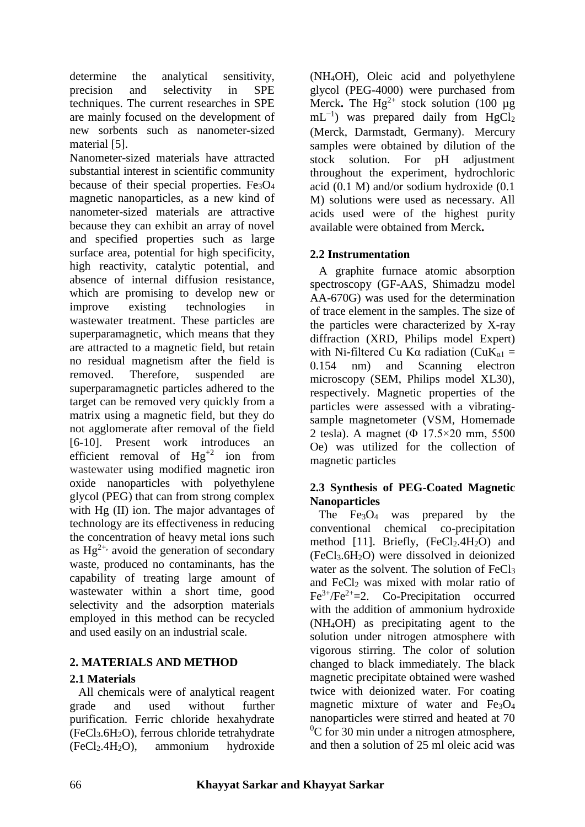determine the analytical sensitivity, precision and selectivity in SPE techniques. The current researches in SPE are mainly focused on the development of new sorbents such as nanometer-sized material [5].

Nanometer-sized materials have attracted substantial interest in scientific community because of their special properties. Fe3O<sup>4</sup> magnetic nanoparticles, as a new kind of nanometer-sized materials are attractive because they can exhibit an array of novel and specified properties such as large surface area, potential for high specificity, high reactivity, catalytic potential, and absence of internal diffusion resistance, which are promising to develop new or improve existing technologies in wastewater treatment. These particles are superparamagnetic, which means that they are attracted to a magnetic field, but retain no residual magnetism after the field is removed. Therefore, suspended are superparamagnetic particles adhered to the target can be removed very quickly from a matrix using a magnetic field, but they do not agglomerate after removal of the field [6-10]. Present work introduces an efficient removal of  $Hg^{+2}$  ion from wastewater using modified magnetic iron oxide nanoparticles with polyethylene glycol (PEG) that can from strong complex with Hg (II) ion. The major advantages of technology are its effectiveness in reducing the concentration of heavy metal ions such as  $Hg^{2+}$ , avoid the generation of secondary waste, produced no contaminants, has the capability of treating large amount of wastewater within a short time, good selectivity and the adsorption materials employed in this method can be recycled and used easily on an industrial scale.

# **2. MATERIALS AND METHOD**

# **2.1 Materials**

 All chemicals were of analytical reagent grade and used without further purification. Ferric chloride hexahydrate (FeCl3.6H2O), ferrous chloride tetrahydrate (FeCl2.4H2O), ammonium hydroxide

(NH4OH), Oleic acid and polyethylene glycol (PEG-4000) were purchased from Merck. The  $Hg^{2+}$  stock solution (100  $\mu$ g)  $mL^{-1}$ ) was prepared daily from HgCl<sub>2</sub> (Merck, Darmstadt, Germany). Mercury samples were obtained by dilution of the stock solution. For pH adjustment throughout the experiment, hydrochloric acid (0.1 M) and/or sodium hydroxide (0.1 M) solutions were used as necessary. All acids used were of the highest purity available were obtained from Merck**.**

# **2.2 Instrumentation**

 A graphite furnace atomic absorption spectroscopy (GF-AAS, Shimadzu model AA-670G) was used for the determination of trace element in the samples. The size of the particles were characterized by X-ray diffraction (XRD, Philips model Expert) with Ni-filtered Cu Kα radiation ( $CuK_{\alpha1}$  = 0.154 nm) and Scanning electron microscopy (SEM, Philips model XL30), respectively. Magnetic properties of the particles were assessed with a vibratingsample magnetometer (VSM, Homemade 2 tesla). A magnet (Φ 17.5×20 mm, 5500 Oe) was utilized for the collection of magnetic particles

# **2.3 Synthesis of PEG-Coated Magnetic Nanoparticles**

The  $Fe<sub>3</sub>O<sub>4</sub>$  was prepared by the conventional chemical co-precipitation method [11]. Briefly,  $(FeCl<sub>2</sub>.4H<sub>2</sub>O)$  and  $(FeCl<sub>3</sub>.6H<sub>2</sub>O)$  were dissolved in deionized water as the solvent. The solution of FeCl<sub>3</sub> and FeCl<sub>2</sub> was mixed with molar ratio of  $Fe^{3+}/Fe^{2+} = 2$ . Co-Precipitation occurred with the addition of ammonium hydroxide (NH4OH) as precipitating agent to the solution under nitrogen atmosphere with vigorous stirring. The color of solution changed to black immediately. The black magnetic precipitate obtained were washed twice with deionized water. For coating magnetic mixture of water and  $Fe<sub>3</sub>O<sub>4</sub>$ nanoparticles were stirred and heated at 70  ${}^{0}C$  for 30 min under a nitrogen atmosphere, and then a solution of 25 ml oleic acid was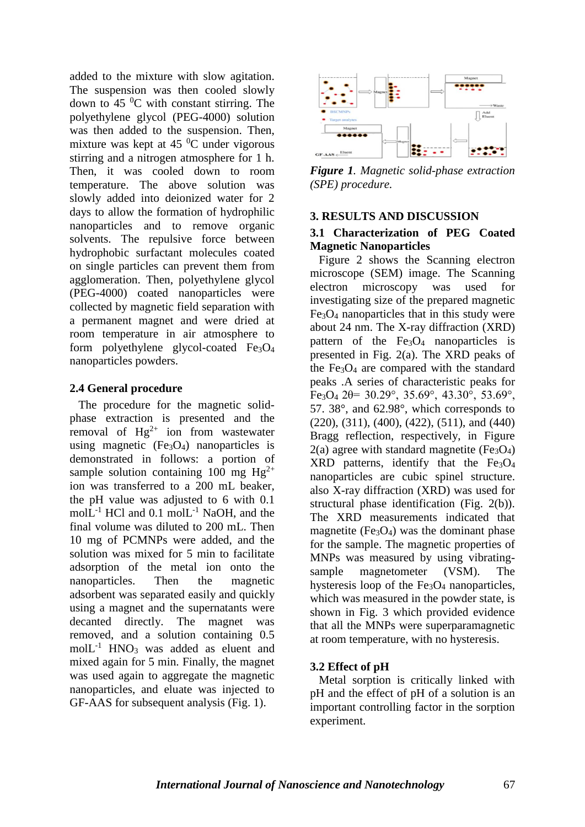added to the mixture with slow agitation. The suspension was then cooled slowly down to 45 $\mathrm{^{0}C}$  with constant stirring. The polyethylene glycol (PEG-4000) solution was then added to the suspension. Then, mixture was kept at  $45\degree$ C under vigorous stirring and a nitrogen atmosphere for 1 h. Then, it was cooled down to room temperature. The above solution was slowly added into deionized water for 2 days to allow the formation of hydrophilic nanoparticles and to remove organic solvents. The repulsive force between hydrophobic surfactant molecules coated on single particles can prevent them from agglomeration. Then, polyethylene glycol (PEG-4000) coated nanoparticles were collected by magnetic field separation with a permanent magnet and were dried at room temperature in air atmosphere to form polyethylene glycol-coated  $Fe<sub>3</sub>O<sub>4</sub>$ nanoparticles powders.

#### **2.4 General procedure**

 The procedure for the magnetic solidphase extraction is presented and the removal of  $Hg^{2+}$  ion from wastewater using magnetic  $(Fe<sub>3</sub>O<sub>4</sub>)$  nanoparticles is demonstrated in follows: a portion of sample solution containing 100 mg  $Hg^{2+}$ ion was transferred to a 200 mL beaker, the pH value was adjusted to 6 with 0.1 mol $\tilde{L}^{-1}$  HCl and 0.1 mol $L^{-1}$  NaOH, and the final volume was diluted to 200 mL. Then 10 mg of PCMNPs were added, and the solution was mixed for 5 min to facilitate adsorption of the metal ion onto the nanoparticles. Then the magnetic adsorbent was separated easily and quickly using a magnet and the supernatants were decanted directly. The magnet was removed, and a solution containing 0.5  $molL<sup>-1</sup> HNO<sub>3</sub> was added as element and$ mixed again for 5 min. Finally, the magnet was used again to aggregate the magnetic nanoparticles, and eluate was injected to GF-AAS for subsequent analysis (Fig. 1).



*Figure 1. Magnetic solid-phase extraction (SPE) procedure.*

#### **3. RESULTS AND DISCUSSION**

# **3.1 Characterization of PEG Coated Magnetic Nanoparticles**

 Figure 2 shows the Scanning electron microscope (SEM) image. The Scanning electron microscopy was used for investigating size of the prepared magnetic  $Fe<sub>3</sub>O<sub>4</sub>$  nanoparticles that in this study were about 24 nm. The X-ray diffraction (XRD) pattern of the Fe<sub>3</sub>O<sub>4</sub> nanoparticles is presented in Fig. 2(a). The XRD peaks of the  $Fe<sub>3</sub>O<sub>4</sub>$  are compared with the standard peaks .A series of characteristic peaks for Fe<sub>3</sub>O<sub>4</sub> 2 $\theta$ = 30.29°, 35.69°, 43.30°, 53.69°, 57. 38°, and 62.98°, which corresponds to (220), (311), (400), (422), (511), and (440) Bragg reflection, respectively, in Figure  $2(a)$  agree with standard magnetite (Fe<sub>3</sub>O<sub>4</sub>)  $XRD$  patterns, identify that the  $Fe<sub>3</sub>O<sub>4</sub>$ nanoparticles are cubic spinel structure. also X-ray diffraction (XRD) was used for structural phase identification (Fig. 2(b)). The XRD measurements indicated that magnetite ( $Fe<sub>3</sub>O<sub>4</sub>$ ) was the dominant phase for the sample. The magnetic properties of MNPs was measured by using vibratingsample magnetometer (VSM). The hysteresis loop of the  $Fe<sub>3</sub>O<sub>4</sub>$  nanoparticles, which was measured in the powder state, is shown in Fig. 3 which provided evidence that all the MNPs were superparamagnetic at room temperature, with no hysteresis.

# **3.2 Effect of pH**

 Metal sorption is critically linked with pH and the effect of pH of a solution is an important controlling factor in the sorption experiment.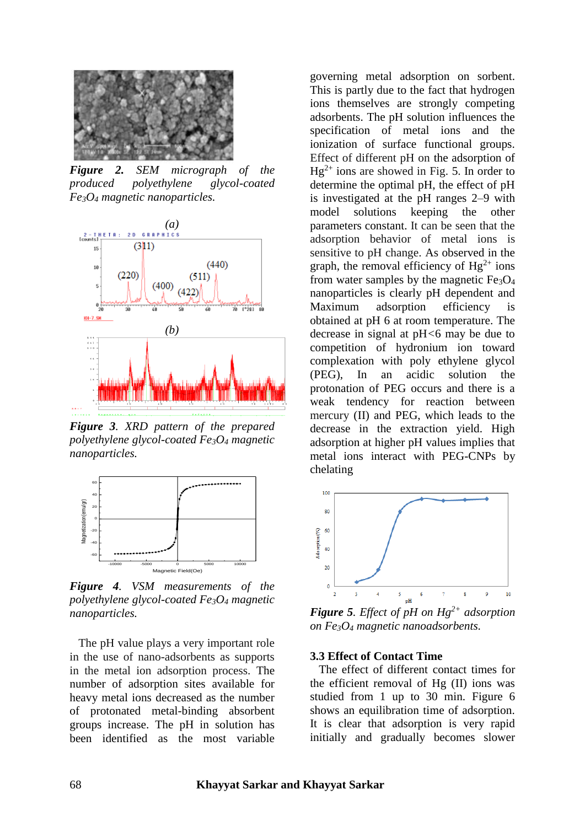

*Figure 2. SEM micrograph of the produced polyethylene glycol-coated Fe3O<sup>4</sup> magnetic nanoparticles.*



*Figure 3. XRD pattern of the prepared polyethylene glycol-coated Fe3O<sup>4</sup> magnetic nanoparticles.*



*Figure 4. VSM measurements of the polyethylene glycol-coated Fe3O<sup>4</sup> magnetic nanoparticles.*

 The pH value plays a very important role in the use of nano-adsorbents as supports in the metal ion adsorption process. The number of adsorption sites available for heavy metal ions decreased as the number of protonated metal-binding absorbent groups increase. The pH in solution has been identified as the most variable

governing metal adsorption on sorbent. This is partly due to the fact that hydrogen ions themselves are strongly competing adsorbents. The pH solution influences the specification of metal ions and the ionization of surface functional groups. Effect of different pH on the adsorption of  $Hg^{2+}$  ions are showed in Fig. 5. In order to determine the optimal pH, the effect of pH is investigated at the pH ranges 2–9 with model solutions keeping the other parameters constant. It can be seen that the adsorption behavior of metal ions is sensitive to pH change. As observed in the graph, the removal efficiency of  $Hg^{2+}$  ions from water samples by the magnetic  $Fe<sub>3</sub>O<sub>4</sub>$ nanoparticles is clearly pH dependent and Maximum adsorption efficiency is obtained at pH 6 at room temperature. The decrease in signal at pH*<*6 may be due to competition of hydronium ion toward complexation with poly ethylene glycol (PEG), In an acidic solution the protonation of PEG occurs and there is a weak tendency for reaction between mercury (II) and PEG, which leads to the decrease in the extraction yield. High adsorption at higher pH values implies that metal ions interact with PEG-CNPs by chelating



*Figure 5. Effect of pH on Hg2+ adsorption on Fe3O<sup>4</sup> magnetic nanoadsorbents.*

#### **3.3 Effect of Contact Time**

 The effect of different contact times for the efficient removal of Hg (II) ions was studied from 1 up to 30 min. Figure 6 shows an equilibration time of adsorption. It is clear that adsorption is very rapid initially and gradually becomes slower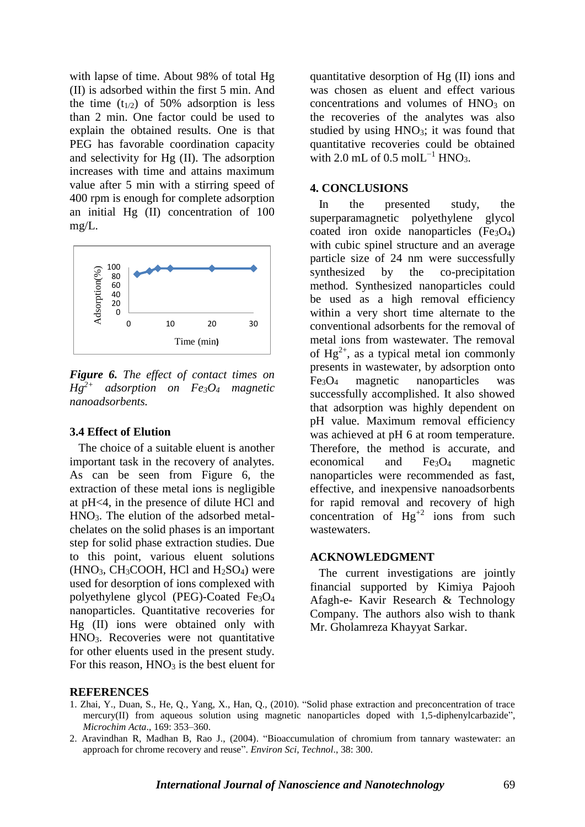with lapse of time. About 98% of total Hg (II) is adsorbed within the first 5 min. And the time  $(t_{1/2})$  of 50% adsorption is less than 2 min. One factor could be used to explain the obtained results. One is that PEG has favorable coordination capacity and selectivity for Hg (II). The adsorption increases with time and attains maximum value after 5 min with a stirring speed of 400 rpm is enough for complete adsorption an initial Hg (II) concentration of 100 mg/L.



*Figure 6. The effect of contact times on*   $Hg^{2+}$  *adsorption on Fe<sub>3</sub>O<sub>4</sub> magnetic nanoadsorbents.*

#### **3.4 Effect of Elution**

 The choice of a suitable eluent is another important task in the recovery of analytes. As can be seen from Figure 6, the extraction of these metal ions is negligible at pH<4, in the presence of dilute HCl and HNO3. The elution of the adsorbed metalchelates on the solid phases is an important step for solid phase extraction studies. Due to this point, various eluent solutions  $(HNO<sub>3</sub>, CH<sub>3</sub>COOH, HCl and H<sub>2</sub>SO<sub>4</sub>)$  were used for desorption of ions complexed with polyethylene glycol (PEG)-Coated Fe3O<sup>4</sup> nanoparticles. Quantitative recoveries for Hg (II) ions were obtained only with HNO3. Recoveries were not quantitative for other eluents used in the present study. For this reason,  $HNO<sub>3</sub>$  is the best eluent for

quantitative desorption of Hg (II) ions and was chosen as eluent and effect various concentrations and volumes of  $HNO<sub>3</sub>$  on the recoveries of the analytes was also studied by using  $HNO<sub>3</sub>$ ; it was found that quantitative recoveries could be obtained with 2.0 mL of 0.5 mol $L^{-1}$  HNO<sub>3</sub>.

#### **4. CONCLUSIONS**

 In the presented study, the superparamagnetic polyethylene glycol coated iron oxide nanoparticles  $(Fe_3O_4)$ with cubic spinel structure and an average particle size of 24 nm were successfully synthesized by the co-precipitation method. Synthesized nanoparticles could be used as a high removal efficiency within a very short time alternate to the conventional adsorbents for the removal of metal ions from wastewater. The removal of  $Hg^{2+}$ , as a typical metal ion commonly presents in wastewater, by adsorption onto Fe3O<sup>4</sup> magnetic nanoparticles was successfully accomplished. It also showed that adsorption was highly dependent on pH value. Maximum removal efficiency was achieved at pH 6 at room temperature. Therefore, the method is accurate, and economical and Fe3O<sup>4</sup> magnetic nanoparticles were recommended as fast, effective, and inexpensive nanoadsorbents for rapid removal and recovery of high concentration of  $Hg^{2}$  ions from such wastewaters.

#### **ACKNOWLEDGMENT**

 The current investigations are jointly financial supported by Kimiya Pajooh Afagh-e- Kavir Research & Technology Company. The authors also wish to thank Mr. Gholamreza Khayyat Sarkar.

#### **REFERENCES**

- 1. Zhai, Y., Duan, S., He, Q., Yang, X., Han, Q., (2010). "Solid phase extraction and preconcentration of trace mercury(II) from aqueous solution using magnetic nanoparticles doped with 1,5-diphenylcarbazide", *Microchim Acta*., 169: 353–360.
- 2. Aravindhan R, Madhan B, Rao J., (2004). "Bioaccumulation of chromium from tannary wastewater: an approach for chrome recovery and reuse". *Environ Sci, Technol*., 38: 300.